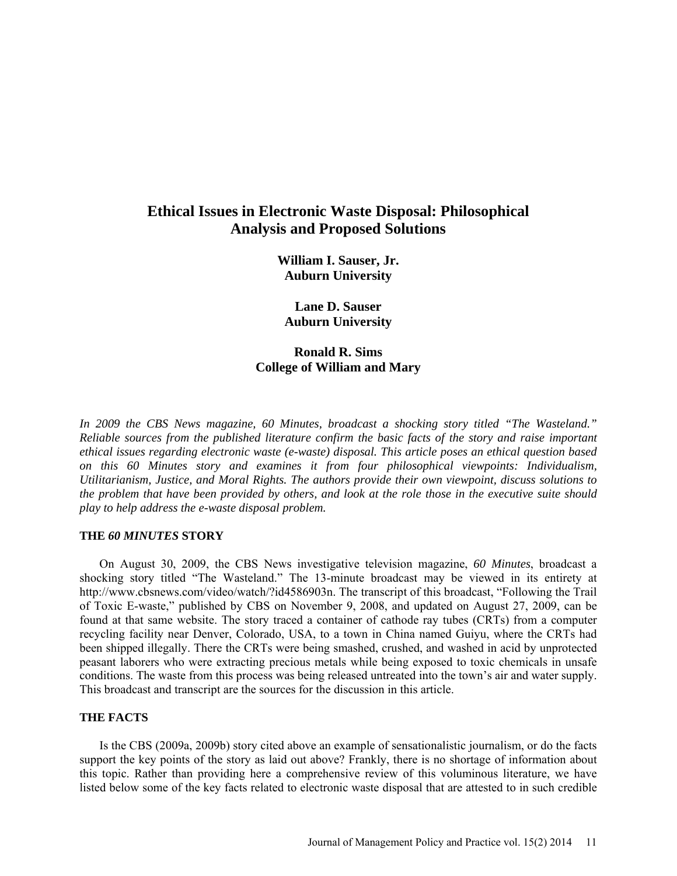# **Ethical Issues in Electronic Waste Disposal: Philosophical Analysis and Proposed Solutions**

**William I. Sauser, Jr. Auburn University**

**Lane D. Sauser Auburn University**

**Ronald R. Sims College of William and Mary** 

*In 2009 the CBS News magazine, 60 Minutes, broadcast a shocking story titled "The Wasteland." Reliable sources from the published literature confirm the basic facts of the story and raise important ethical issues regarding electronic waste (e-waste) disposal. This article poses an ethical question based on this 60 Minutes story and examines it from four philosophical viewpoints: Individualism, Utilitarianism, Justice, and Moral Rights. The authors provide their own viewpoint, discuss solutions to the problem that have been provided by others, and look at the role those in the executive suite should play to help address the e-waste disposal problem.* 

#### **THE** *60 MINUTES* **STORY**

On August 30, 2009, the CBS News investigative television magazine, *60 Minutes*, broadcast a shocking story titled "The Wasteland." The 13-minute broadcast may be viewed in its entirety at [http://www.cbsnews.com/video/watch/?id4586903n.](http://www.cbsnews.com/video/watch/?id4586903n) The transcript of this broadcast, "Following the Trail of Toxic E-waste," published by CBS on November 9, 2008, and updated on August 27, 2009, can be found at that same website. The story traced a container of cathode ray tubes (CRTs) from a computer recycling facility near Denver, Colorado, USA, to a town in China named Guiyu, where the CRTs had been shipped illegally. There the CRTs were being smashed, crushed, and washed in acid by unprotected peasant laborers who were extracting precious metals while being exposed to toxic chemicals in unsafe conditions. The waste from this process was being released untreated into the town's air and water supply. This broadcast and transcript are the sources for the discussion in this article.

# **THE FACTS**

Is the CBS (2009a, 2009b) story cited above an example of sensationalistic journalism, or do the facts support the key points of the story as laid out above? Frankly, there is no shortage of information about this topic. Rather than providing here a comprehensive review of this voluminous literature, we have listed below some of the key facts related to electronic waste disposal that are attested to in such credible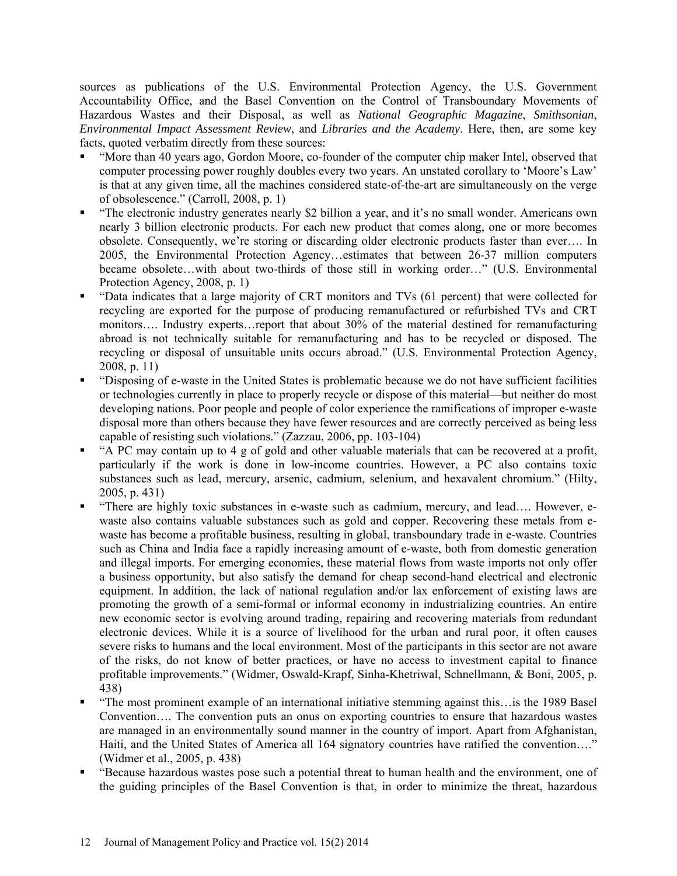sources as publications of the U.S. Environmental Protection Agency, the U.S. Government Accountability Office, and the Basel Convention on the Control of Transboundary Movements of Hazardous Wastes and their Disposal, as well as *National Geographic Magazine*, *Smithsonian*, *Environmental Impact Assessment Review*, and *Libraries and the Academy*. Here, then, are some key facts, quoted verbatim directly from these sources:

- "More than 40 years ago, Gordon Moore, co-founder of the computer chip maker Intel, observed that computer processing power roughly doubles every two years. An unstated corollary to 'Moore's Law' is that at any given time, all the machines considered state-of-the-art are simultaneously on the verge of obsolescence." (Carroll, 2008, p. 1)
- "The electronic industry generates nearly \$2 billion a year, and it's no small wonder. Americans own nearly 3 billion electronic products. For each new product that comes along, one or more becomes obsolete. Consequently, we're storing or discarding older electronic products faster than ever…. In 2005, the Environmental Protection Agency…estimates that between 26-37 million computers became obsolete…with about two-thirds of those still in working order…" (U.S. Environmental Protection Agency, 2008, p. 1)
- "Data indicates that a large majority of CRT monitors and TVs (61 percent) that were collected for recycling are exported for the purpose of producing remanufactured or refurbished TVs and CRT monitors…. Industry experts…report that about 30% of the material destined for remanufacturing abroad is not technically suitable for remanufacturing and has to be recycled or disposed. The recycling or disposal of unsuitable units occurs abroad." (U.S. Environmental Protection Agency, 2008, p. 11)
- "Disposing of e-waste in the United States is problematic because we do not have sufficient facilities or technologies currently in place to properly recycle or dispose of this material—but neither do most developing nations. Poor people and people of color experience the ramifications of improper e-waste disposal more than others because they have fewer resources and are correctly perceived as being less capable of resisting such violations." (Zazzau, 2006, pp. 103-104)
- "A PC may contain up to 4 g of gold and other valuable materials that can be recovered at a profit, particularly if the work is done in low-income countries. However, a PC also contains toxic substances such as lead, mercury, arsenic, cadmium, selenium, and hexavalent chromium." (Hilty, 2005, p. 431)
- "There are highly toxic substances in e-waste such as cadmium, mercury, and lead…. However, ewaste also contains valuable substances such as gold and copper. Recovering these metals from ewaste has become a profitable business, resulting in global, transboundary trade in e-waste. Countries such as China and India face a rapidly increasing amount of e-waste, both from domestic generation and illegal imports. For emerging economies, these material flows from waste imports not only offer a business opportunity, but also satisfy the demand for cheap second-hand electrical and electronic equipment. In addition, the lack of national regulation and/or lax enforcement of existing laws are promoting the growth of a semi-formal or informal economy in industrializing countries. An entire new economic sector is evolving around trading, repairing and recovering materials from redundant electronic devices. While it is a source of livelihood for the urban and rural poor, it often causes severe risks to humans and the local environment. Most of the participants in this sector are not aware of the risks, do not know of better practices, or have no access to investment capital to finance profitable improvements." (Widmer, Oswald-Krapf, Sinha-Khetriwal, Schnellmann, & Boni, 2005, p. 438)
- "The most prominent example of an international initiative stemming against this…is the 1989 Basel Convention…. The convention puts an onus on exporting countries to ensure that hazardous wastes are managed in an environmentally sound manner in the country of import. Apart from Afghanistan, Haiti, and the United States of America all 164 signatory countries have ratified the convention…." (Widmer et al., 2005, p. 438)
- "Because hazardous wastes pose such a potential threat to human health and the environment, one of the guiding principles of the Basel Convention is that, in order to minimize the threat, hazardous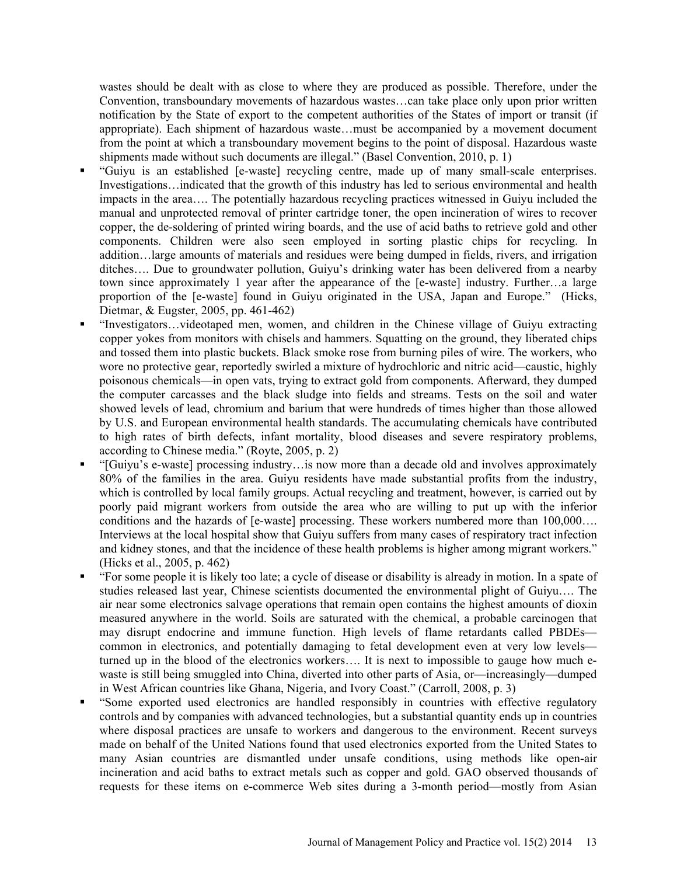wastes should be dealt with as close to where they are produced as possible. Therefore, under the Convention, transboundary movements of hazardous wastes…can take place only upon prior written notification by the State of export to the competent authorities of the States of import or transit (if appropriate). Each shipment of hazardous waste…must be accompanied by a movement document from the point at which a transboundary movement begins to the point of disposal. Hazardous waste shipments made without such documents are illegal." (Basel Convention, 2010, p. 1)

- "Guiyu is an established [e-waste] recycling centre, made up of many small-scale enterprises. Investigations…indicated that the growth of this industry has led to serious environmental and health impacts in the area…. The potentially hazardous recycling practices witnessed in Guiyu included the manual and unprotected removal of printer cartridge toner, the open incineration of wires to recover copper, the de-soldering of printed wiring boards, and the use of acid baths to retrieve gold and other components. Children were also seen employed in sorting plastic chips for recycling. In addition…large amounts of materials and residues were being dumped in fields, rivers, and irrigation ditches…. Due to groundwater pollution, Guiyu's drinking water has been delivered from a nearby town since approximately 1 year after the appearance of the [e-waste] industry. Further…a large proportion of the [e-waste] found in Guiyu originated in the USA, Japan and Europe." (Hicks, Dietmar, & Eugster, 2005, pp. 461-462)
- "Investigators…videotaped men, women, and children in the Chinese village of Guiyu extracting copper yokes from monitors with chisels and hammers. Squatting on the ground, they liberated chips and tossed them into plastic buckets. Black smoke rose from burning piles of wire. The workers, who wore no protective gear, reportedly swirled a mixture of hydrochloric and nitric acid—caustic, highly poisonous chemicals—in open vats, trying to extract gold from components. Afterward, they dumped the computer carcasses and the black sludge into fields and streams. Tests on the soil and water showed levels of lead, chromium and barium that were hundreds of times higher than those allowed by U.S. and European environmental health standards. The accumulating chemicals have contributed to high rates of birth defects, infant mortality, blood diseases and severe respiratory problems, according to Chinese media." (Royte, 2005, p. 2)
- "[Guiyu's e-waste] processing industry…is now more than a decade old and involves approximately 80% of the families in the area. Guiyu residents have made substantial profits from the industry, which is controlled by local family groups. Actual recycling and treatment, however, is carried out by poorly paid migrant workers from outside the area who are willing to put up with the inferior conditions and the hazards of [e-waste] processing. These workers numbered more than 100,000…. Interviews at the local hospital show that Guiyu suffers from many cases of respiratory tract infection and kidney stones, and that the incidence of these health problems is higher among migrant workers." (Hicks et al., 2005, p. 462)
- "For some people it is likely too late; a cycle of disease or disability is already in motion. In a spate of studies released last year, Chinese scientists documented the environmental plight of Guiyu…. The air near some electronics salvage operations that remain open contains the highest amounts of dioxin measured anywhere in the world. Soils are saturated with the chemical, a probable carcinogen that may disrupt endocrine and immune function. High levels of flame retardants called PBDEs common in electronics, and potentially damaging to fetal development even at very low levels turned up in the blood of the electronics workers…. It is next to impossible to gauge how much ewaste is still being smuggled into China, diverted into other parts of Asia, or—increasingly—dumped in West African countries like Ghana, Nigeria, and Ivory Coast." (Carroll, 2008, p. 3)
- "Some exported used electronics are handled responsibly in countries with effective regulatory controls and by companies with advanced technologies, but a substantial quantity ends up in countries where disposal practices are unsafe to workers and dangerous to the environment. Recent surveys made on behalf of the United Nations found that used electronics exported from the United States to many Asian countries are dismantled under unsafe conditions, using methods like open-air incineration and acid baths to extract metals such as copper and gold. GAO observed thousands of requests for these items on e-commerce Web sites during a 3-month period—mostly from Asian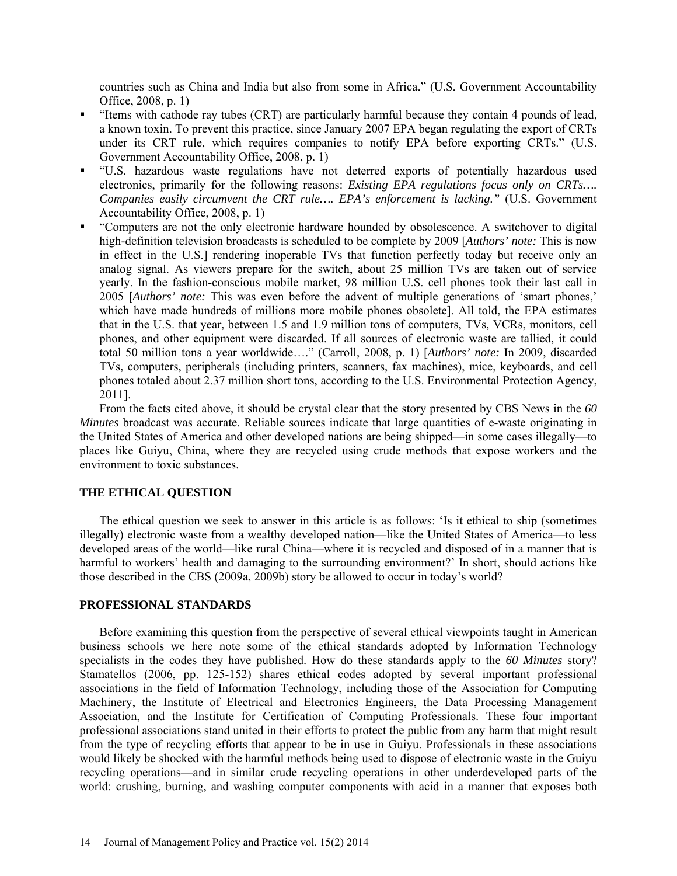countries such as China and India but also from some in Africa." (U.S. Government Accountability Office, 2008, p. 1)

- "Items with cathode ray tubes (CRT) are particularly harmful because they contain 4 pounds of lead, a known toxin. To prevent this practice, since January 2007 EPA began regulating the export of CRTs under its CRT rule, which requires companies to notify EPA before exporting CRTs." (U.S. Government Accountability Office, 2008, p. 1)
- "U.S. hazardous waste regulations have not deterred exports of potentially hazardous used electronics, primarily for the following reasons: *Existing EPA regulations focus only on CRTs…. Companies easily circumvent the CRT rule…. EPA's enforcement is lacking."* (U.S. Government Accountability Office, 2008, p. 1)
- "Computers are not the only electronic hardware hounded by obsolescence. A switchover to digital high-definition television broadcasts is scheduled to be complete by 2009 [*Authors' note:* This is now in effect in the U.S.] rendering inoperable TVs that function perfectly today but receive only an analog signal. As viewers prepare for the switch, about 25 million TVs are taken out of service yearly. In the fashion-conscious mobile market, 98 million U.S. cell phones took their last call in 2005 [*Authors' note:* This was even before the advent of multiple generations of 'smart phones,' which have made hundreds of millions more mobile phones obsolete]. All told, the EPA estimates that in the U.S. that year, between 1.5 and 1.9 million tons of computers, TVs, VCRs, monitors, cell phones, and other equipment were discarded. If all sources of electronic waste are tallied, it could total 50 million tons a year worldwide…." (Carroll, 2008, p. 1) [*Authors' note:* In 2009, discarded TVs, computers, peripherals (including printers, scanners, fax machines), mice, keyboards, and cell phones totaled about 2.37 million short tons, according to the U.S. Environmental Protection Agency, 2011].

From the facts cited above, it should be crystal clear that the story presented by CBS News in the *60 Minutes* broadcast was accurate. Reliable sources indicate that large quantities of e-waste originating in the United States of America and other developed nations are being shipped—in some cases illegally—to places like Guiyu, China, where they are recycled using crude methods that expose workers and the environment to toxic substances.

# **THE ETHICAL QUESTION**

The ethical question we seek to answer in this article is as follows: 'Is it ethical to ship (sometimes illegally) electronic waste from a wealthy developed nation—like the United States of America—to less developed areas of the world—like rural China—where it is recycled and disposed of in a manner that is harmful to workers' health and damaging to the surrounding environment?' In short, should actions like those described in the CBS (2009a, 2009b) story be allowed to occur in today's world?

#### **PROFESSIONAL STANDARDS**

Before examining this question from the perspective of several ethical viewpoints taught in American business schools we here note some of the ethical standards adopted by Information Technology specialists in the codes they have published. How do these standards apply to the *60 Minutes* story? Stamatellos (2006, pp. 125-152) shares ethical codes adopted by several important professional associations in the field of Information Technology, including those of the Association for Computing Machinery, the Institute of Electrical and Electronics Engineers, the Data Processing Management Association, and the Institute for Certification of Computing Professionals. These four important professional associations stand united in their efforts to protect the public from any harm that might result from the type of recycling efforts that appear to be in use in Guiyu. Professionals in these associations would likely be shocked with the harmful methods being used to dispose of electronic waste in the Guiyu recycling operations—and in similar crude recycling operations in other underdeveloped parts of the world: crushing, burning, and washing computer components with acid in a manner that exposes both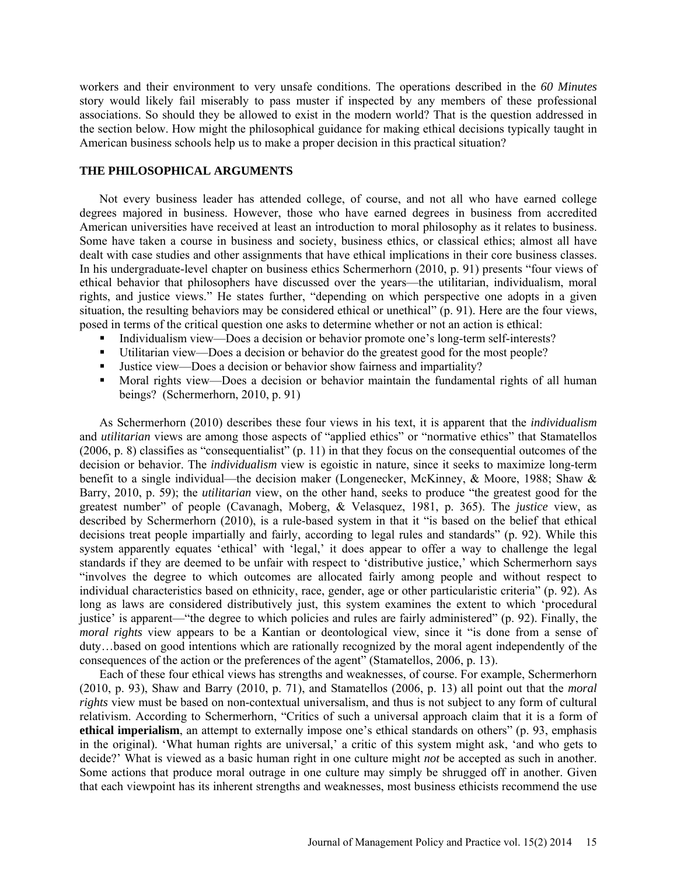workers and their environment to very unsafe conditions. The operations described in the *60 Minutes*  story would likely fail miserably to pass muster if inspected by any members of these professional associations. So should they be allowed to exist in the modern world? That is the question addressed in the section below. How might the philosophical guidance for making ethical decisions typically taught in American business schools help us to make a proper decision in this practical situation?

#### **THE PHILOSOPHICAL ARGUMENTS**

Not every business leader has attended college, of course, and not all who have earned college degrees majored in business. However, those who have earned degrees in business from accredited American universities have received at least an introduction to moral philosophy as it relates to business. Some have taken a course in business and society, business ethics, or classical ethics; almost all have dealt with case studies and other assignments that have ethical implications in their core business classes. In his undergraduate-level chapter on business ethics Schermerhorn (2010, p. 91) presents "four views of ethical behavior that philosophers have discussed over the years—the utilitarian, individualism, moral rights, and justice views." He states further, "depending on which perspective one adopts in a given situation, the resulting behaviors may be considered ethical or unethical" (p. 91). Here are the four views, posed in terms of the critical question one asks to determine whether or not an action is ethical:

- Individualism view—Does a decision or behavior promote one's long-term self-interests?
- Utilitarian view—Does a decision or behavior do the greatest good for the most people?
- Justice view—Does a decision or behavior show fairness and impartiality?
- Moral rights view—Does a decision or behavior maintain the fundamental rights of all human beings? (Schermerhorn, 2010, p. 91)

As Schermerhorn (2010) describes these four views in his text, it is apparent that the *individualism* and *utilitarian* views are among those aspects of "applied ethics" or "normative ethics" that Stamatellos (2006, p. 8) classifies as "consequentialist" (p. 11) in that they focus on the consequential outcomes of the decision or behavior. The *individualism* view is egoistic in nature, since it seeks to maximize long-term benefit to a single individual—the decision maker (Longenecker, McKinney, & Moore, 1988; Shaw & Barry, 2010, p. 59); the *utilitarian* view, on the other hand, seeks to produce "the greatest good for the greatest number" of people (Cavanagh, Moberg, & Velasquez, 1981, p. 365). The *justice* view, as described by Schermerhorn (2010), is a rule-based system in that it "is based on the belief that ethical decisions treat people impartially and fairly, according to legal rules and standards" (p. 92). While this system apparently equates 'ethical' with 'legal,' it does appear to offer a way to challenge the legal standards if they are deemed to be unfair with respect to 'distributive justice,' which Schermerhorn says "involves the degree to which outcomes are allocated fairly among people and without respect to individual characteristics based on ethnicity, race, gender, age or other particularistic criteria" (p. 92). As long as laws are considered distributively just, this system examines the extent to which 'procedural justice' is apparent—"the degree to which policies and rules are fairly administered" (p. 92). Finally, the *moral rights* view appears to be a Kantian or deontological view, since it "is done from a sense of duty…based on good intentions which are rationally recognized by the moral agent independently of the consequences of the action or the preferences of the agent" (Stamatellos, 2006, p. 13).

Each of these four ethical views has strengths and weaknesses, of course. For example, Schermerhorn (2010, p. 93), Shaw and Barry (2010, p. 71), and Stamatellos (2006, p. 13) all point out that the *moral rights* view must be based on non-contextual universalism, and thus is not subject to any form of cultural relativism. According to Schermerhorn, "Critics of such a universal approach claim that it is a form of **ethical imperialism**, an attempt to externally impose one's ethical standards on others" (p. 93, emphasis in the original). 'What human rights are universal,' a critic of this system might ask, 'and who gets to decide?' What is viewed as a basic human right in one culture might *not* be accepted as such in another. Some actions that produce moral outrage in one culture may simply be shrugged off in another. Given that each viewpoint has its inherent strengths and weaknesses, most business ethicists recommend the use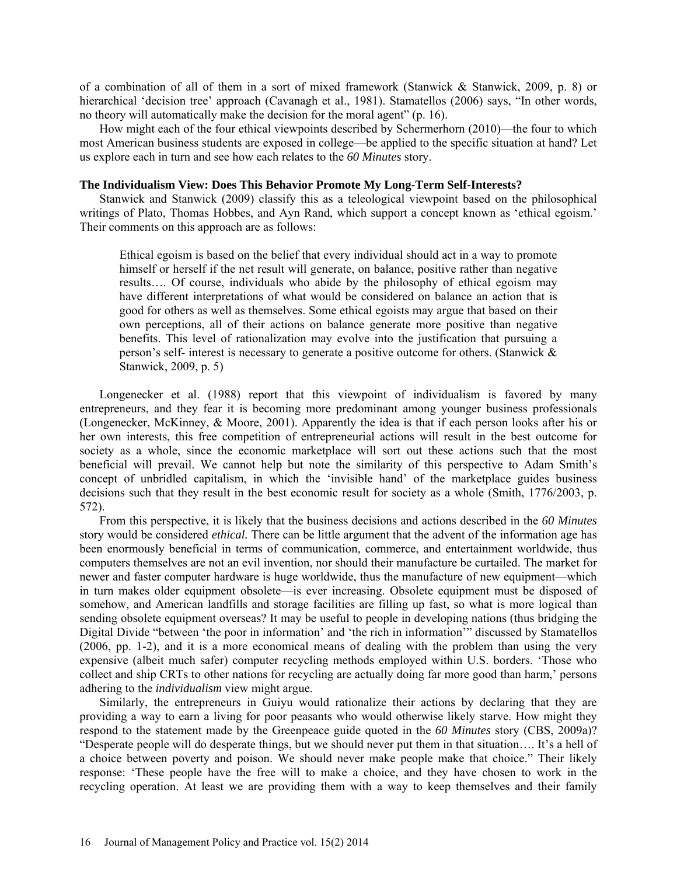of a combination of all of them in a sort of mixed framework (Stanwick & Stanwick, 2009, p. 8) or hierarchical 'decision tree' approach (Cavanagh et al., 1981). Stamatellos (2006) says, "In other words, no theory will automatically make the decision for the moral agent" (p. 16).

How might each of the four ethical viewpoints described by Schermerhorn (2010)—the four to which most American business students are exposed in college—be applied to the specific situation at hand? Let us explore each in turn and see how each relates to the *60 Minutes* story.

## **The Individualism View: Does This Behavior Promote My Long-Term Self-Interests?**

Stanwick and Stanwick (2009) classify this as a teleological viewpoint based on the philosophical writings of Plato, Thomas Hobbes, and Ayn Rand, which support a concept known as 'ethical egoism.' Their comments on this approach are as follows:

Ethical egoism is based on the belief that every individual should act in a way to promote himself or herself if the net result will generate, on balance, positive rather than negative results…. Of course, individuals who abide by the philosophy of ethical egoism may have different interpretations of what would be considered on balance an action that is good for others as well as themselves. Some ethical egoists may argue that based on their own perceptions, all of their actions on balance generate more positive than negative benefits. This level of rationalization may evolve into the justification that pursuing a person's self- interest is necessary to generate a positive outcome for others. (Stanwick & Stanwick, 2009, p. 5)

Longenecker et al. (1988) report that this viewpoint of individualism is favored by many entrepreneurs, and they fear it is becoming more predominant among younger business professionals (Longenecker, McKinney, & Moore, 2001). Apparently the idea is that if each person looks after his or her own interests, this free competition of entrepreneurial actions will result in the best outcome for society as a whole, since the economic marketplace will sort out these actions such that the most beneficial will prevail. We cannot help but note the similarity of this perspective to Adam Smith's concept of unbridled capitalism, in which the 'invisible hand' of the marketplace guides business decisions such that they result in the best economic result for society as a whole (Smith, 1776/2003, p. 572).

From this perspective, it is likely that the business decisions and actions described in the *60 Minutes* story would be considered *ethical.* There can be little argument that the advent of the information age has been enormously beneficial in terms of communication, commerce, and entertainment worldwide, thus computers themselves are not an evil invention, nor should their manufacture be curtailed. The market for newer and faster computer hardware is huge worldwide, thus the manufacture of new equipment—which in turn makes older equipment obsolete—is ever increasing. Obsolete equipment must be disposed of somehow, and American landfills and storage facilities are filling up fast, so what is more logical than sending obsolete equipment overseas? It may be useful to people in developing nations (thus bridging the Digital Divide "between 'the poor in information' and 'the rich in information'" discussed by Stamatellos (2006, pp. 1-2), and it is a more economical means of dealing with the problem than using the very expensive (albeit much safer) computer recycling methods employed within U.S. borders. 'Those who collect and ship CRTs to other nations for recycling are actually doing far more good than harm,' persons adhering to the *individualism* view might argue.

Similarly, the entrepreneurs in Guiyu would rationalize their actions by declaring that they are providing a way to earn a living for poor peasants who would otherwise likely starve. How might they respond to the statement made by the Greenpeace guide quoted in the *60 Minutes* story (CBS, 2009a)? "Desperate people will do desperate things, but we should never put them in that situation…. It's a hell of a choice between poverty and poison. We should never make people make that choice." Their likely response: 'These people have the free will to make a choice, and they have chosen to work in the recycling operation. At least we are providing them with a way to keep themselves and their family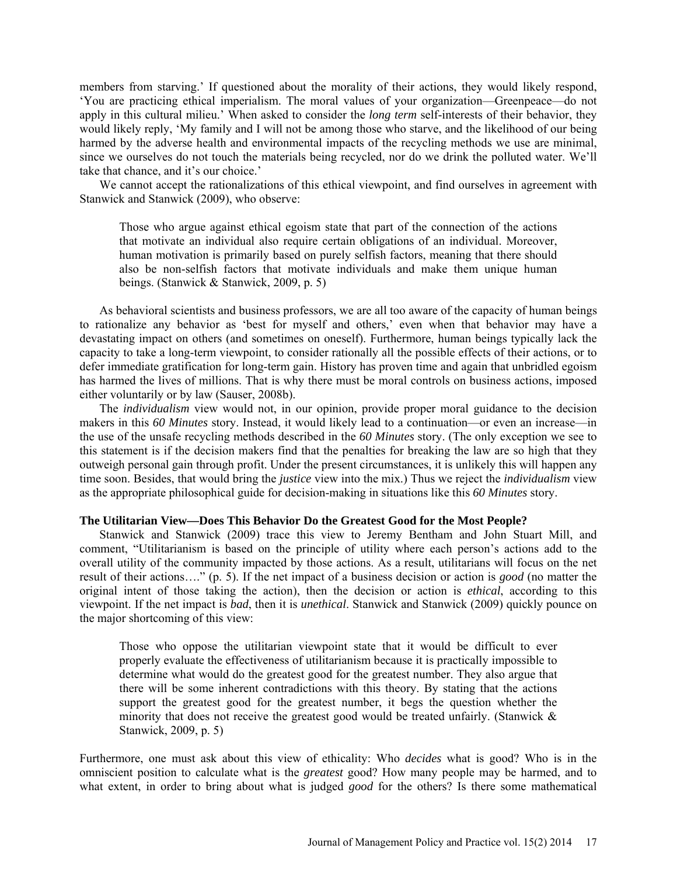members from starving.' If questioned about the morality of their actions, they would likely respond, 'You are practicing ethical imperialism. The moral values of your organization—Greenpeace—do not apply in this cultural milieu.' When asked to consider the *long term* self-interests of their behavior, they would likely reply, 'My family and I will not be among those who starve, and the likelihood of our being harmed by the adverse health and environmental impacts of the recycling methods we use are minimal, since we ourselves do not touch the materials being recycled, nor do we drink the polluted water. We'll take that chance, and it's our choice.'

We cannot accept the rationalizations of this ethical viewpoint, and find ourselves in agreement with Stanwick and Stanwick (2009), who observe:

Those who argue against ethical egoism state that part of the connection of the actions that motivate an individual also require certain obligations of an individual. Moreover, human motivation is primarily based on purely selfish factors, meaning that there should also be non-selfish factors that motivate individuals and make them unique human beings. (Stanwick & Stanwick, 2009, p. 5)

As behavioral scientists and business professors, we are all too aware of the capacity of human beings to rationalize any behavior as 'best for myself and others,' even when that behavior may have a devastating impact on others (and sometimes on oneself). Furthermore, human beings typically lack the capacity to take a long-term viewpoint, to consider rationally all the possible effects of their actions, or to defer immediate gratification for long-term gain. History has proven time and again that unbridled egoism has harmed the lives of millions. That is why there must be moral controls on business actions, imposed either voluntarily or by law (Sauser, 2008b).

The *individualism* view would not, in our opinion, provide proper moral guidance to the decision makers in this *60 Minutes* story. Instead, it would likely lead to a continuation—or even an increase—in the use of the unsafe recycling methods described in the *60 Minutes* story. (The only exception we see to this statement is if the decision makers find that the penalties for breaking the law are so high that they outweigh personal gain through profit. Under the present circumstances, it is unlikely this will happen any time soon. Besides, that would bring the *justice* view into the mix.) Thus we reject the *individualism* view as the appropriate philosophical guide for decision-making in situations like this *60 Minutes* story.

## **The Utilitarian View—Does This Behavior Do the Greatest Good for the Most People?**

Stanwick and Stanwick (2009) trace this view to Jeremy Bentham and John Stuart Mill, and comment, "Utilitarianism is based on the principle of utility where each person's actions add to the overall utility of the community impacted by those actions. As a result, utilitarians will focus on the net result of their actions…." (p. 5). If the net impact of a business decision or action is *good* (no matter the original intent of those taking the action), then the decision or action is *ethical*, according to this viewpoint. If the net impact is *bad*, then it is *unethical*. Stanwick and Stanwick (2009) quickly pounce on the major shortcoming of this view:

Those who oppose the utilitarian viewpoint state that it would be difficult to ever properly evaluate the effectiveness of utilitarianism because it is practically impossible to determine what would do the greatest good for the greatest number. They also argue that there will be some inherent contradictions with this theory. By stating that the actions support the greatest good for the greatest number, it begs the question whether the minority that does not receive the greatest good would be treated unfairly. (Stanwick  $\&$ Stanwick, 2009, p. 5)

Furthermore, one must ask about this view of ethicality: Who *decides* what is good? Who is in the omniscient position to calculate what is the *greatest* good? How many people may be harmed, and to what extent, in order to bring about what is judged *good* for the others? Is there some mathematical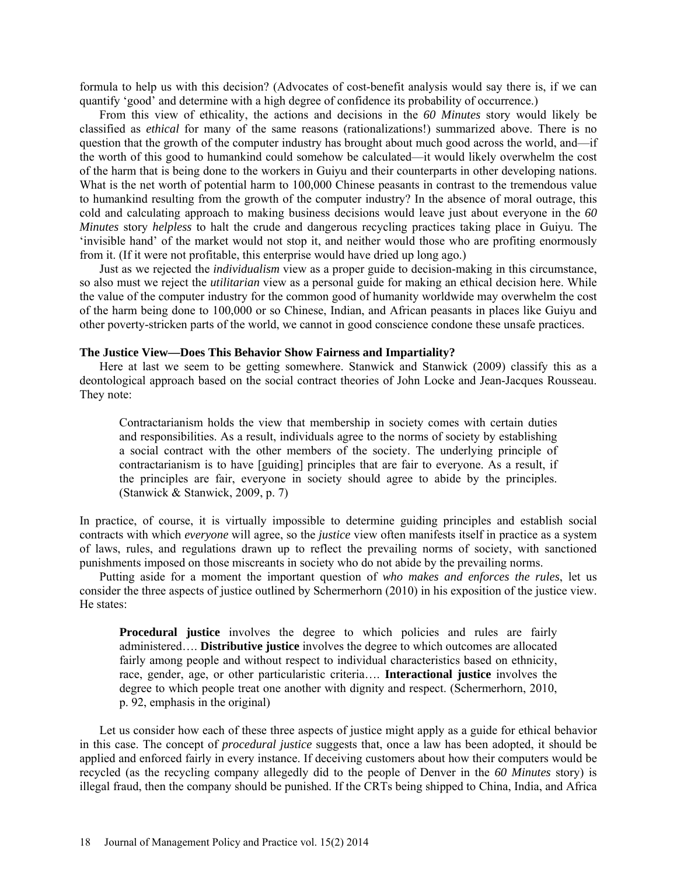formula to help us with this decision? (Advocates of cost-benefit analysis would say there is, if we can quantify 'good' and determine with a high degree of confidence its probability of occurrence.)

From this view of ethicality, the actions and decisions in the *60 Minutes* story would likely be classified as *ethical* for many of the same reasons (rationalizations!) summarized above. There is no question that the growth of the computer industry has brought about much good across the world, and—if the worth of this good to humankind could somehow be calculated—it would likely overwhelm the cost of the harm that is being done to the workers in Guiyu and their counterparts in other developing nations. What is the net worth of potential harm to 100,000 Chinese peasants in contrast to the tremendous value to humankind resulting from the growth of the computer industry? In the absence of moral outrage, this cold and calculating approach to making business decisions would leave just about everyone in the *60 Minutes* story *helpless* to halt the crude and dangerous recycling practices taking place in Guiyu. The 'invisible hand' of the market would not stop it, and neither would those who are profiting enormously from it. (If it were not profitable, this enterprise would have dried up long ago.)

Just as we rejected the *individualism* view as a proper guide to decision-making in this circumstance, so also must we reject the *utilitarian* view as a personal guide for making an ethical decision here. While the value of the computer industry for the common good of humanity worldwide may overwhelm the cost of the harm being done to 100,000 or so Chinese, Indian, and African peasants in places like Guiyu and other poverty-stricken parts of the world, we cannot in good conscience condone these unsafe practices.

## **The Justice View—Does This Behavior Show Fairness and Impartiality?**

Here at last we seem to be getting somewhere. Stanwick and Stanwick (2009) classify this as a deontological approach based on the social contract theories of John Locke and Jean-Jacques Rousseau. They note:

Contractarianism holds the view that membership in society comes with certain duties and responsibilities. As a result, individuals agree to the norms of society by establishing a social contract with the other members of the society. The underlying principle of contractarianism is to have [guiding] principles that are fair to everyone. As a result, if the principles are fair, everyone in society should agree to abide by the principles. (Stanwick & Stanwick, 2009, p. 7)

In practice, of course, it is virtually impossible to determine guiding principles and establish social contracts with which *everyone* will agree, so the *justice* view often manifests itself in practice as a system of laws, rules, and regulations drawn up to reflect the prevailing norms of society, with sanctioned punishments imposed on those miscreants in society who do not abide by the prevailing norms.

Putting aside for a moment the important question of *who makes and enforces the rules*, let us consider the three aspects of justice outlined by Schermerhorn (2010) in his exposition of the justice view. He states:

**Procedural justice** involves the degree to which policies and rules are fairly administered…. **Distributive justice** involves the degree to which outcomes are allocated fairly among people and without respect to individual characteristics based on ethnicity, race, gender, age, or other particularistic criteria…. **Interactional justice** involves the degree to which people treat one another with dignity and respect. (Schermerhorn, 2010, p. 92, emphasis in the original)

Let us consider how each of these three aspects of justice might apply as a guide for ethical behavior in this case. The concept of *procedural justice* suggests that, once a law has been adopted, it should be applied and enforced fairly in every instance. If deceiving customers about how their computers would be recycled (as the recycling company allegedly did to the people of Denver in the *60 Minutes* story) is illegal fraud, then the company should be punished. If the CRTs being shipped to China, India, and Africa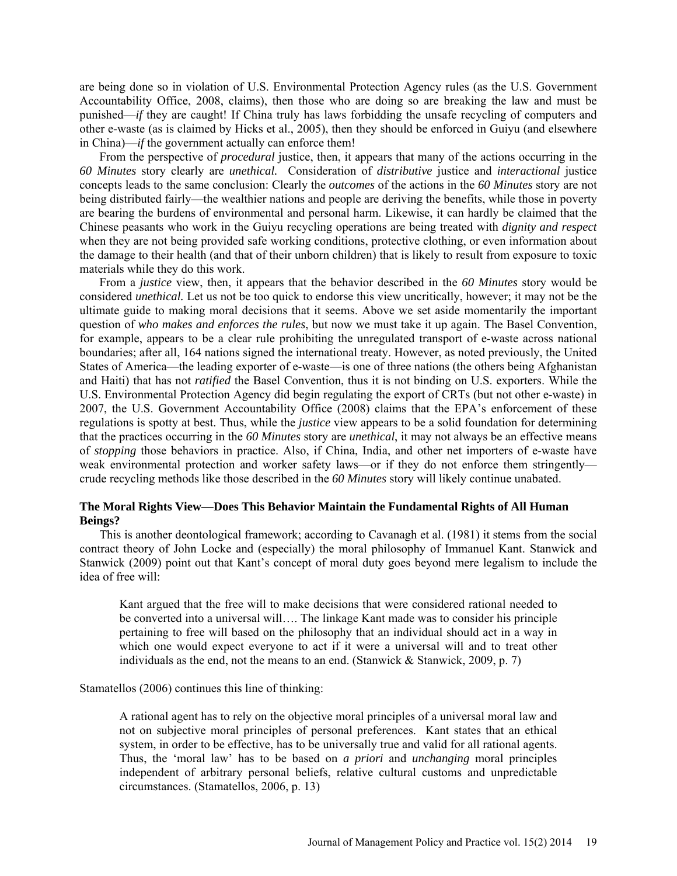are being done so in violation of U.S. Environmental Protection Agency rules (as the U.S. Government Accountability Office, 2008, claims), then those who are doing so are breaking the law and must be punished—*if* they are caught! If China truly has laws forbidding the unsafe recycling of computers and other e-waste (as is claimed by Hicks et al., 2005), then they should be enforced in Guiyu (and elsewhere in China)—*if* the government actually can enforce them!

From the perspective of *procedural* justice, then, it appears that many of the actions occurring in the *60 Minutes* story clearly are *unethical.* Consideration of *distributive* justice and *interactional* justice concepts leads to the same conclusion: Clearly the *outcomes* of the actions in the *60 Minutes* story are not being distributed fairly—the wealthier nations and people are deriving the benefits, while those in poverty are bearing the burdens of environmental and personal harm. Likewise, it can hardly be claimed that the Chinese peasants who work in the Guiyu recycling operations are being treated with *dignity and respect* when they are not being provided safe working conditions, protective clothing, or even information about the damage to their health (and that of their unborn children) that is likely to result from exposure to toxic materials while they do this work.

From a *justice* view, then, it appears that the behavior described in the *60 Minutes* story would be considered *unethical.* Let us not be too quick to endorse this view uncritically, however; it may not be the ultimate guide to making moral decisions that it seems. Above we set aside momentarily the important question of *who makes and enforces the rules*, but now we must take it up again. The Basel Convention, for example, appears to be a clear rule prohibiting the unregulated transport of e-waste across national boundaries; after all, 164 nations signed the international treaty. However, as noted previously, the United States of America—the leading exporter of e-waste—is one of three nations (the others being Afghanistan and Haiti) that has not *ratified* the Basel Convention, thus it is not binding on U.S. exporters. While the U.S. Environmental Protection Agency did begin regulating the export of CRTs (but not other e-waste) in 2007, the U.S. Government Accountability Office (2008) claims that the EPA's enforcement of these regulations is spotty at best. Thus, while the *justice* view appears to be a solid foundation for determining that the practices occurring in the *60 Minutes* story are *unethical*, it may not always be an effective means of *stopping* those behaviors in practice. Also, if China, India, and other net importers of e-waste have weak environmental protection and worker safety laws—or if they do not enforce them stringently crude recycling methods like those described in the *60 Minutes* story will likely continue unabated.

# **The Moral Rights View—Does This Behavior Maintain the Fundamental Rights of All Human Beings?**

This is another deontological framework; according to Cavanagh et al. (1981) it stems from the social contract theory of John Locke and (especially) the moral philosophy of Immanuel Kant. Stanwick and Stanwick (2009) point out that Kant's concept of moral duty goes beyond mere legalism to include the idea of free will:

Kant argued that the free will to make decisions that were considered rational needed to be converted into a universal will…. The linkage Kant made was to consider his principle pertaining to free will based on the philosophy that an individual should act in a way in which one would expect everyone to act if it were a universal will and to treat other individuals as the end, not the means to an end. (Stanwick  $\&$  Stanwick, 2009, p. 7)

Stamatellos (2006) continues this line of thinking:

A rational agent has to rely on the objective moral principles of a universal moral law and not on subjective moral principles of personal preferences. Kant states that an ethical system, in order to be effective, has to be universally true and valid for all rational agents. Thus, the 'moral law' has to be based on *a priori* and *unchanging* moral principles independent of arbitrary personal beliefs, relative cultural customs and unpredictable circumstances. (Stamatellos, 2006, p. 13)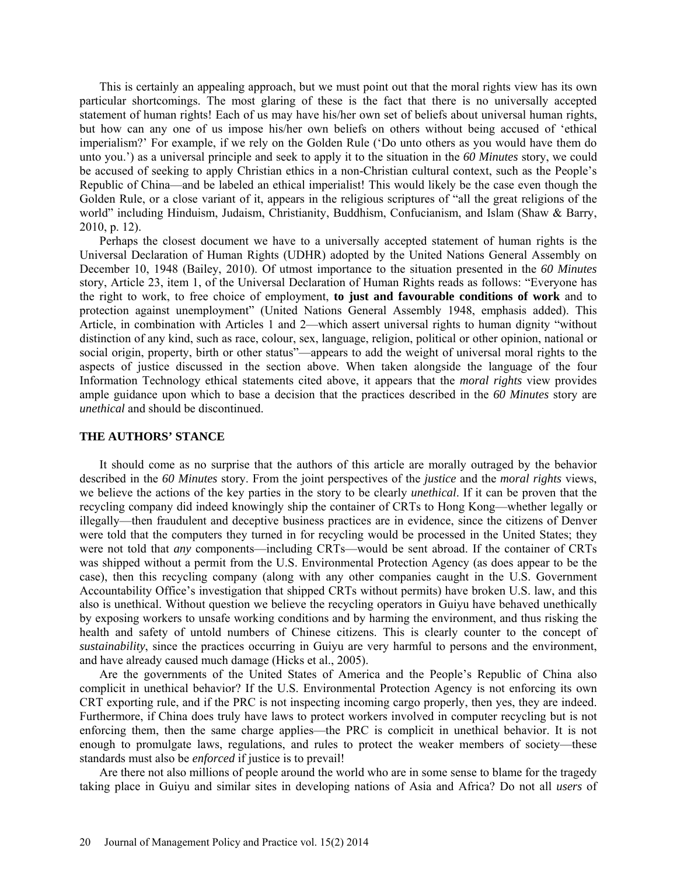This is certainly an appealing approach, but we must point out that the moral rights view has its own particular shortcomings. The most glaring of these is the fact that there is no universally accepted statement of human rights! Each of us may have his/her own set of beliefs about universal human rights, but how can any one of us impose his/her own beliefs on others without being accused of 'ethical imperialism?' For example, if we rely on the Golden Rule ('Do unto others as you would have them do unto you.') as a universal principle and seek to apply it to the situation in the *60 Minutes* story, we could be accused of seeking to apply Christian ethics in a non-Christian cultural context, such as the People's Republic of China—and be labeled an ethical imperialist! This would likely be the case even though the Golden Rule, or a close variant of it, appears in the religious scriptures of "all the great religions of the world" including Hinduism, Judaism, Christianity, Buddhism, Confucianism, and Islam (Shaw & Barry, 2010, p. 12).

Perhaps the closest document we have to a universally accepted statement of human rights is the Universal Declaration of Human Rights (UDHR) adopted by the United Nations General Assembly on December 10, 1948 (Bailey, 2010). Of utmost importance to the situation presented in the *60 Minutes*  story, Article 23, item 1, of the Universal Declaration of Human Rights reads as follows: "Everyone has the right to work, to free choice of employment, **to just and favourable conditions of work** and to protection against unemployment" (United Nations General Assembly 1948, emphasis added). This Article, in combination with Articles 1 and 2—which assert universal rights to human dignity "without distinction of any kind, such as race, colour, sex, language, religion, political or other opinion, national or social origin, property, birth or other status"—appears to add the weight of universal moral rights to the aspects of justice discussed in the section above. When taken alongside the language of the four Information Technology ethical statements cited above, it appears that the *moral rights* view provides ample guidance upon which to base a decision that the practices described in the *60 Minutes* story are *unethical* and should be discontinued.

#### **THE AUTHORS' STANCE**

It should come as no surprise that the authors of this article are morally outraged by the behavior described in the *60 Minutes* story. From the joint perspectives of the *justice* and the *moral rights* views, we believe the actions of the key parties in the story to be clearly *unethical*. If it can be proven that the recycling company did indeed knowingly ship the container of CRTs to Hong Kong—whether legally or illegally—then fraudulent and deceptive business practices are in evidence, since the citizens of Denver were told that the computers they turned in for recycling would be processed in the United States; they were not told that *any* components—including CRTs—would be sent abroad. If the container of CRTs was shipped without a permit from the U.S. Environmental Protection Agency (as does appear to be the case), then this recycling company (along with any other companies caught in the U.S. Government Accountability Office's investigation that shipped CRTs without permits) have broken U.S. law, and this also is unethical. Without question we believe the recycling operators in Guiyu have behaved unethically by exposing workers to unsafe working conditions and by harming the environment, and thus risking the health and safety of untold numbers of Chinese citizens. This is clearly counter to the concept of *sustainability*, since the practices occurring in Guiyu are very harmful to persons and the environment, and have already caused much damage (Hicks et al., 2005).

Are the governments of the United States of America and the People's Republic of China also complicit in unethical behavior? If the U.S. Environmental Protection Agency is not enforcing its own CRT exporting rule, and if the PRC is not inspecting incoming cargo properly, then yes, they are indeed. Furthermore, if China does truly have laws to protect workers involved in computer recycling but is not enforcing them, then the same charge applies—the PRC is complicit in unethical behavior. It is not enough to promulgate laws, regulations, and rules to protect the weaker members of society—these standards must also be *enforced* if justice is to prevail!

Are there not also millions of people around the world who are in some sense to blame for the tragedy taking place in Guiyu and similar sites in developing nations of Asia and Africa? Do not all *users* of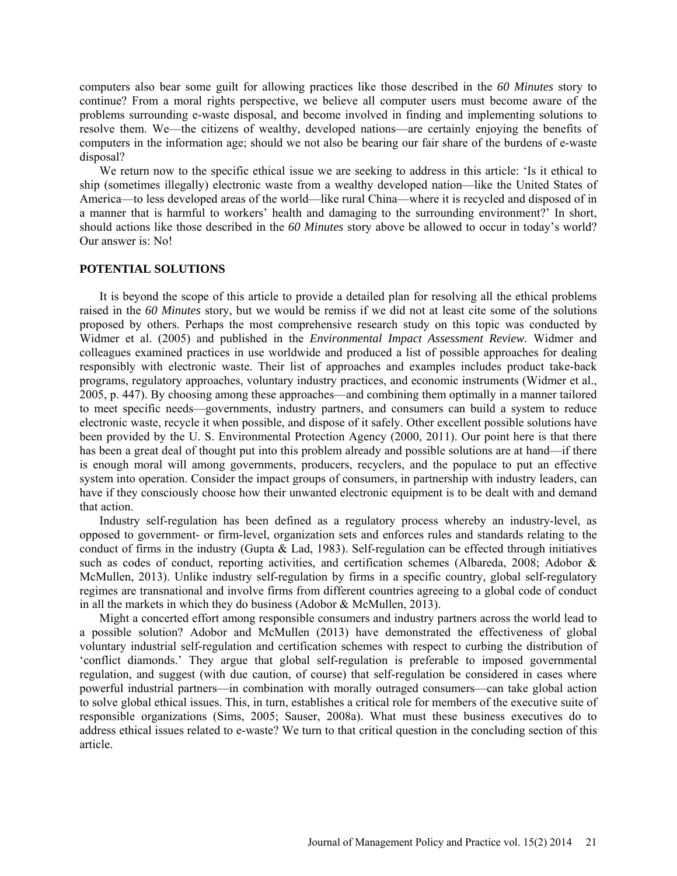computers also bear some guilt for allowing practices like those described in the *60 Minutes* story to continue? From a moral rights perspective, we believe all computer users must become aware of the problems surrounding e-waste disposal, and become involved in finding and implementing solutions to resolve them. We—the citizens of wealthy, developed nations—are certainly enjoying the benefits of computers in the information age; should we not also be bearing our fair share of the burdens of e-waste disposal?

We return now to the specific ethical issue we are seeking to address in this article: 'Is it ethical to ship (sometimes illegally) electronic waste from a wealthy developed nation—like the United States of America—to less developed areas of the world—like rural China—where it is recycled and disposed of in a manner that is harmful to workers' health and damaging to the surrounding environment?' In short, should actions like those described in the *60 Minutes* story above be allowed to occur in today's world? Our answer is: No!

#### **POTENTIAL SOLUTIONS**

It is beyond the scope of this article to provide a detailed plan for resolving all the ethical problems raised in the *60 Minutes* story, but we would be remiss if we did not at least cite some of the solutions proposed by others. Perhaps the most comprehensive research study on this topic was conducted by Widmer et al. (2005) and published in the *Environmental Impact Assessment Review.* Widmer and colleagues examined practices in use worldwide and produced a list of possible approaches for dealing responsibly with electronic waste. Their list of approaches and examples includes product take-back programs, regulatory approaches, voluntary industry practices, and economic instruments (Widmer et al., 2005, p. 447). By choosing among these approaches—and combining them optimally in a manner tailored to meet specific needs—governments, industry partners, and consumers can build a system to reduce electronic waste, recycle it when possible, and dispose of it safely. Other excellent possible solutions have been provided by the U. S. Environmental Protection Agency (2000, 2011). Our point here is that there has been a great deal of thought put into this problem already and possible solutions are at hand—if there is enough moral will among governments, producers, recyclers, and the populace to put an effective system into operation. Consider the impact groups of consumers, in partnership with industry leaders, can have if they consciously choose how their unwanted electronic equipment is to be dealt with and demand that action.

Industry self-regulation has been defined as a regulatory process whereby an industry-level, as opposed to government- or firm-level, organization sets and enforces rules and standards relating to the conduct of firms in the industry (Gupta & Lad, 1983). Self-regulation can be effected through initiatives such as codes of conduct, reporting activities, and certification schemes (Albareda, 2008; Adobor & McMullen, 2013). Unlike industry self-regulation by firms in a specific country, global self-regulatory regimes are transnational and involve firms from different countries agreeing to a global code of conduct in all the markets in which they do business (Adobor & McMullen, 2013).

Might a concerted effort among responsible consumers and industry partners across the world lead to a possible solution? Adobor and McMullen (2013) have demonstrated the effectiveness of global voluntary industrial self-regulation and certification schemes with respect to curbing the distribution of 'conflict diamonds.' They argue that global self-regulation is preferable to imposed governmental regulation, and suggest (with due caution, of course) that self-regulation be considered in cases where powerful industrial partners—in combination with morally outraged consumers—can take global action to solve global ethical issues. This, in turn, establishes a critical role for members of the executive suite of responsible organizations (Sims, 2005; Sauser, 2008a). What must these business executives do to address ethical issues related to e-waste? We turn to that critical question in the concluding section of this article.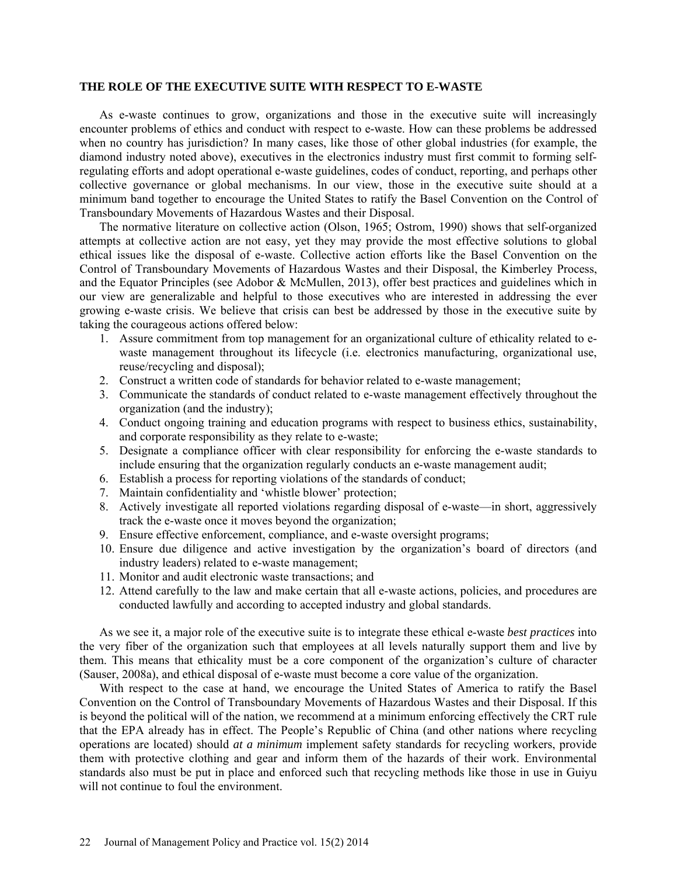#### **THE ROLE OF THE EXECUTIVE SUITE WITH RESPECT TO E-WASTE**

As e-waste continues to grow, organizations and those in the executive suite will increasingly encounter problems of ethics and conduct with respect to e-waste. How can these problems be addressed when no country has jurisdiction? In many cases, like those of other global industries (for example, the diamond industry noted above), executives in the electronics industry must first commit to forming selfregulating efforts and adopt operational e-waste guidelines, codes of conduct, reporting, and perhaps other collective governance or global mechanisms. In our view, those in the executive suite should at a minimum band together to encourage the United States to ratify the Basel Convention on the Control of Transboundary Movements of Hazardous Wastes and their Disposal.

The normative literature on collective action (Olson, 1965; Ostrom, 1990) shows that self-organized attempts at collective action are not easy, yet they may provide the most effective solutions to global ethical issues like the disposal of e-waste. Collective action efforts like the Basel Convention on the Control of Transboundary Movements of Hazardous Wastes and their Disposal, the Kimberley Process, and the Equator Principles (see Adobor & McMullen, 2013), offer best practices and guidelines which in our view are generalizable and helpful to those executives who are interested in addressing the ever growing e-waste crisis. We believe that crisis can best be addressed by those in the executive suite by taking the courageous actions offered below:

- 1. Assure commitment from top management for an organizational culture of ethicality related to ewaste management throughout its lifecycle (i.e. electronics manufacturing, organizational use, reuse/recycling and disposal);
- 2. Construct a written code of standards for behavior related to e-waste management;
- 3. Communicate the standards of conduct related to e-waste management effectively throughout the organization (and the industry);
- 4. Conduct ongoing training and education programs with respect to business ethics, sustainability, and corporate responsibility as they relate to e-waste;
- 5. Designate a compliance officer with clear responsibility for enforcing the e-waste standards to include ensuring that the organization regularly conducts an e-waste management audit;
- 6. Establish a process for reporting violations of the standards of conduct;
- 7. Maintain confidentiality and 'whistle blower' protection;
- 8. Actively investigate all reported violations regarding disposal of e-waste—in short, aggressively track the e-waste once it moves beyond the organization;
- 9. Ensure effective enforcement, compliance, and e-waste oversight programs;
- 10. Ensure due diligence and active investigation by the organization's board of directors (and industry leaders) related to e-waste management;
- 11. Monitor and audit electronic waste transactions; and
- 12. Attend carefully to the law and make certain that all e-waste actions, policies, and procedures are conducted lawfully and according to accepted industry and global standards.

As we see it, a major role of the executive suite is to integrate these ethical e-waste *best practices* into the very fiber of the organization such that employees at all levels naturally support them and live by them. This means that ethicality must be a core component of the organization's culture of character (Sauser, 2008a), and ethical disposal of e-waste must become a core value of the organization.

With respect to the case at hand, we encourage the United States of America to ratify the Basel Convention on the Control of Transboundary Movements of Hazardous Wastes and their Disposal. If this is beyond the political will of the nation, we recommend at a minimum enforcing effectively the CRT rule that the EPA already has in effect. The People's Republic of China (and other nations where recycling operations are located) should *at a minimum* implement safety standards for recycling workers, provide them with protective clothing and gear and inform them of the hazards of their work. Environmental standards also must be put in place and enforced such that recycling methods like those in use in Guiyu will not continue to foul the environment.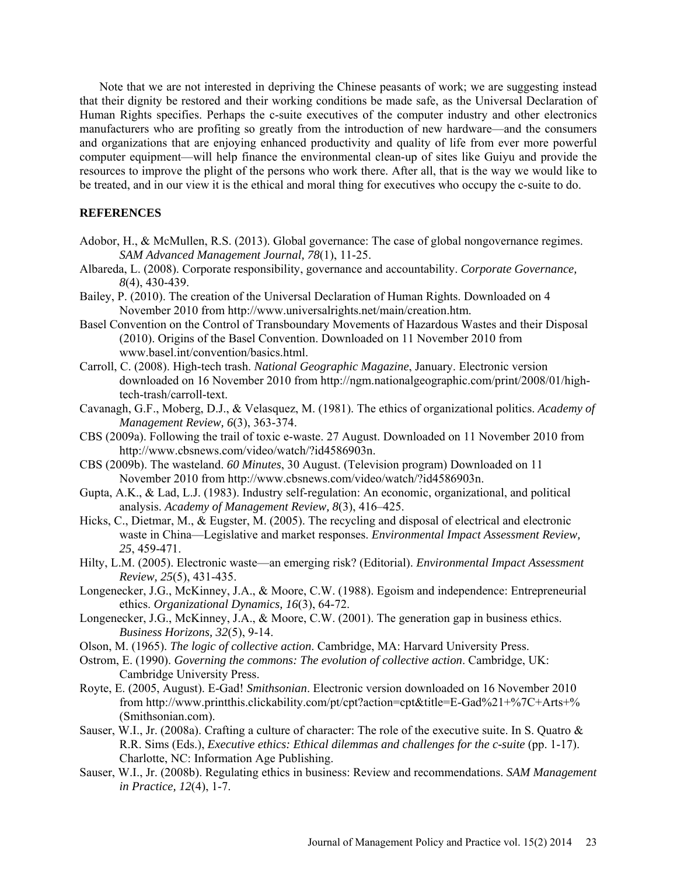Note that we are not interested in depriving the Chinese peasants of work; we are suggesting instead that their dignity be restored and their working conditions be made safe, as the Universal Declaration of Human Rights specifies. Perhaps the c-suite executives of the computer industry and other electronics manufacturers who are profiting so greatly from the introduction of new hardware—and the consumers and organizations that are enjoying enhanced productivity and quality of life from ever more powerful computer equipment—will help finance the environmental clean-up of sites like Guiyu and provide the resources to improve the plight of the persons who work there. After all, that is the way we would like to be treated, and in our view it is the ethical and moral thing for executives who occupy the c-suite to do.

## **REFERENCES**

- Adobor, H., & McMullen, R.S. (2013). Global governance: The case of global nongovernance regimes. *SAM Advanced Management Journal, 78*(1), 11-25.
- Albareda, L. (2008). Corporate responsibility, governance and accountability. *Corporate Governance, 8*(4), 430-439.
- Bailey, P. (2010). The creation of the Universal Declaration of Human Rights. Downloaded on 4 November 2010 from [http://www.universalrights.net/main/creation.htm.](http://www.universalrights.net/main/creation.htm)
- Basel Convention on the Control of Transboundary Movements of Hazardous Wastes and their Disposal (2010). Origins of the Basel Convention. Downloaded on 11 November 2010 from [www.basel.int/convention/basics.html.](http://www.basel.int/convention/basics.html)
- Carroll, C. (2008). High-tech trash. *National Geographic Magazine*, January. Electronic version downloaded on 16 November 2010 from [http://ngm.nationalgeographic.com/print/2008/01/high](http://ngm.nationalgeographic.com/print/2008/01/high-tech-trash/carroll-text)[tech-trash/carroll-text.](http://ngm.nationalgeographic.com/print/2008/01/high-tech-trash/carroll-text)
- Cavanagh, G.F., Moberg, D.J., & Velasquez, M. (1981). The ethics of organizational politics. *Academy of Management Review, 6*(3), 363-374.
- CBS (2009a). Following the trail of toxic e-waste. 27 August. Downloaded on 11 November 2010 from [http://www.cbsnews.com/video/watch/?id4586903n.](http://www.cbsnews.com/video/watch/?id4586903n)
- CBS (2009b). The wasteland. *60 Minutes*, 30 August. (Television program) Downloaded on 11 November 2010 from [http://www.cbsnews.com/video/watch/?id4586903n.](http://www.cbsnews.com/video/watch/?id4586903n)
- Gupta, A.K., & Lad, L.J. (1983). Industry self-regulation: An economic, organizational, and political analysis. *Academy of Management Review, 8*(3), 416–425.
- Hicks, C., Dietmar, M., & Eugster, M. (2005). The recycling and disposal of electrical and electronic waste in China—Legislative and market responses. *Environmental Impact Assessment Review, 25*, 459-471.
- Hilty, L.M. (2005). Electronic waste—an emerging risk? (Editorial). *Environmental Impact Assessment Review, 25*(5), 431-435.
- Longenecker, J.G., McKinney, J.A., & Moore, C.W. (1988). Egoism and independence: Entrepreneurial ethics. *Organizational Dynamics, 16*(3), 64-72.
- Longenecker, J.G., McKinney, J.A., & Moore, C.W. (2001). The generation gap in business ethics. *Business Horizons, 32*(5), 9-14.
- Olson, M. (1965). *The logic of collective action*. Cambridge, MA: Harvard University Press.
- Ostrom, E. (1990). *Governing the commons: The evolution of collective action*. Cambridge, UK: Cambridge University Press.
- Royte, E. (2005, August). E-Gad! *Smithsonian*. Electronic version downloaded on 16 November 2010 from [http://www.printthis.clickability.com/pt/cpt?action=cpt&title=E-Gad%21+%7C+A](http://www.printthis.clickability.com/pt/cpt?action=cpt&title=E-Gad%21+%7C+)rts+% (Smithsonian.com).
- Sauser, W.I., Jr. (2008a). Crafting a culture of character: The role of the executive suite. In S. Quatro & R.R. Sims (Eds.), *Executive ethics: Ethical dilemmas and challenges for the c-suite* (pp. 1-17). Charlotte, NC: Information Age Publishing.
- Sauser, W.I., Jr. (2008b). Regulating ethics in business: Review and recommendations. *SAM Management in Practice, 12*(4), 1-7.